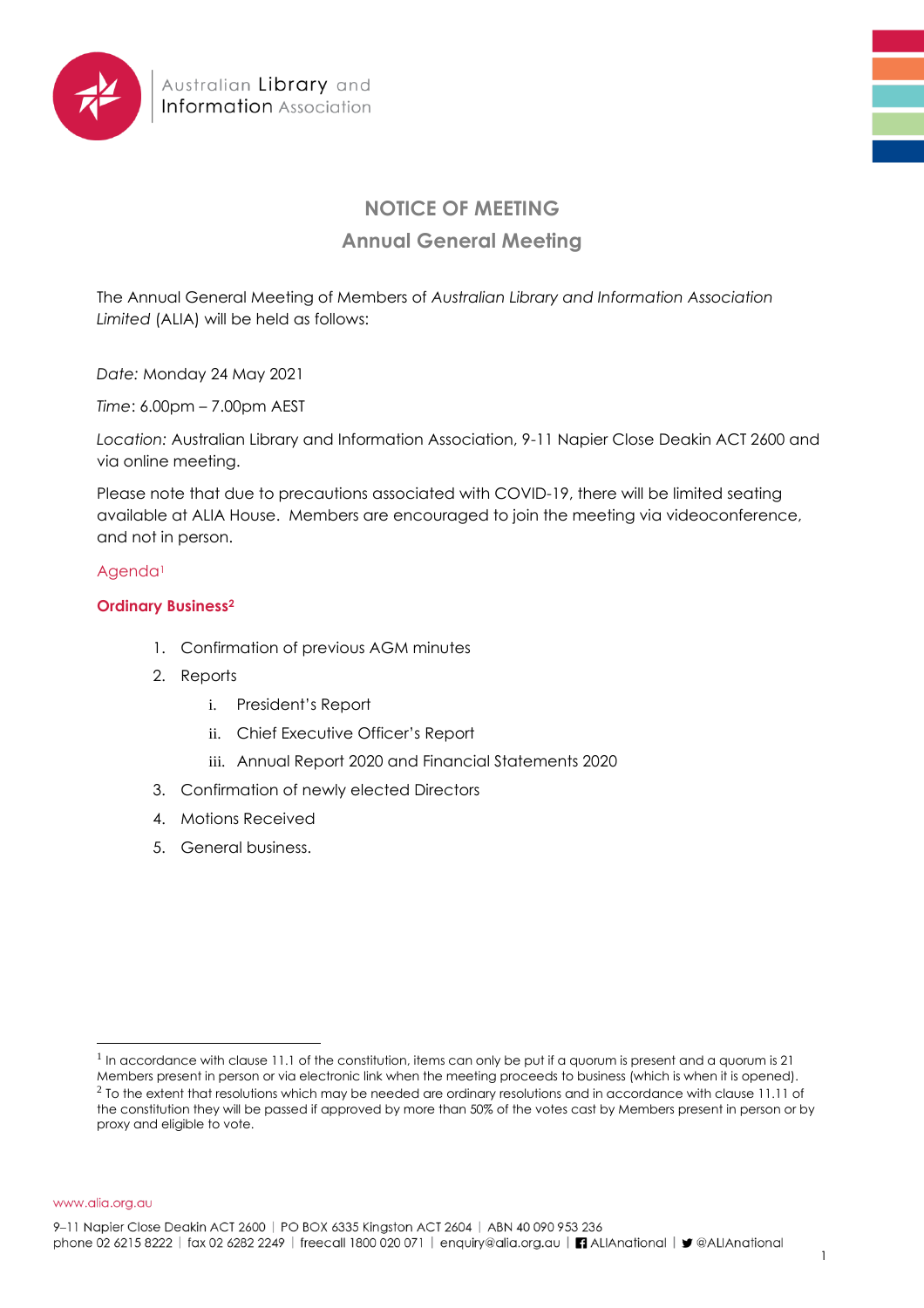

# **NOTICE OF MEETING**

## **Annual General Meeting**

The Annual General Meeting of Members of *Australian Library and Information Association Limited* (ALIA) will be held as follows:

*Date:* Monday 24 May 2021

*Time*: 6.00pm – 7.00pm AEST

*Location:* Australian Library and Information Association, 9-11 Napier Close Deakin ACT 2600 and via online meeting.

Please note that due to precautions associated with COVID-19, there will be limited seating available at ALIA House. Members are encouraged to join the meeting via videoconference, and not in person.

#### Agenda<sup>1</sup>

### **Ordinary Business<sup>2</sup>**

- 1. Confirmation of previous AGM minutes
- 2. Reports
	- i. President's Report
	- ii. Chief Executive Officer's Report
	- iii. Annual Report 2020 and Financial Statements 2020
- 3. Confirmation of newly elected Directors
- 4. Motions Received
- 5. General business.

www.alia.org.au

<sup>&</sup>lt;sup>1</sup> In accordance with clause 11.1 of the constitution, items can only be put if a quorum is present and a quorum is 21 Members present in person or via electronic link when the meeting proceeds to business (which is when it is opened).  $^2$  To the extent that resolutions which may be needed are ordinary resolutions and in accordance with clause 11.11 of the constitution they will be passed if approved by more than 50% of the votes cast by Members present in person or by proxy and eligible to vote.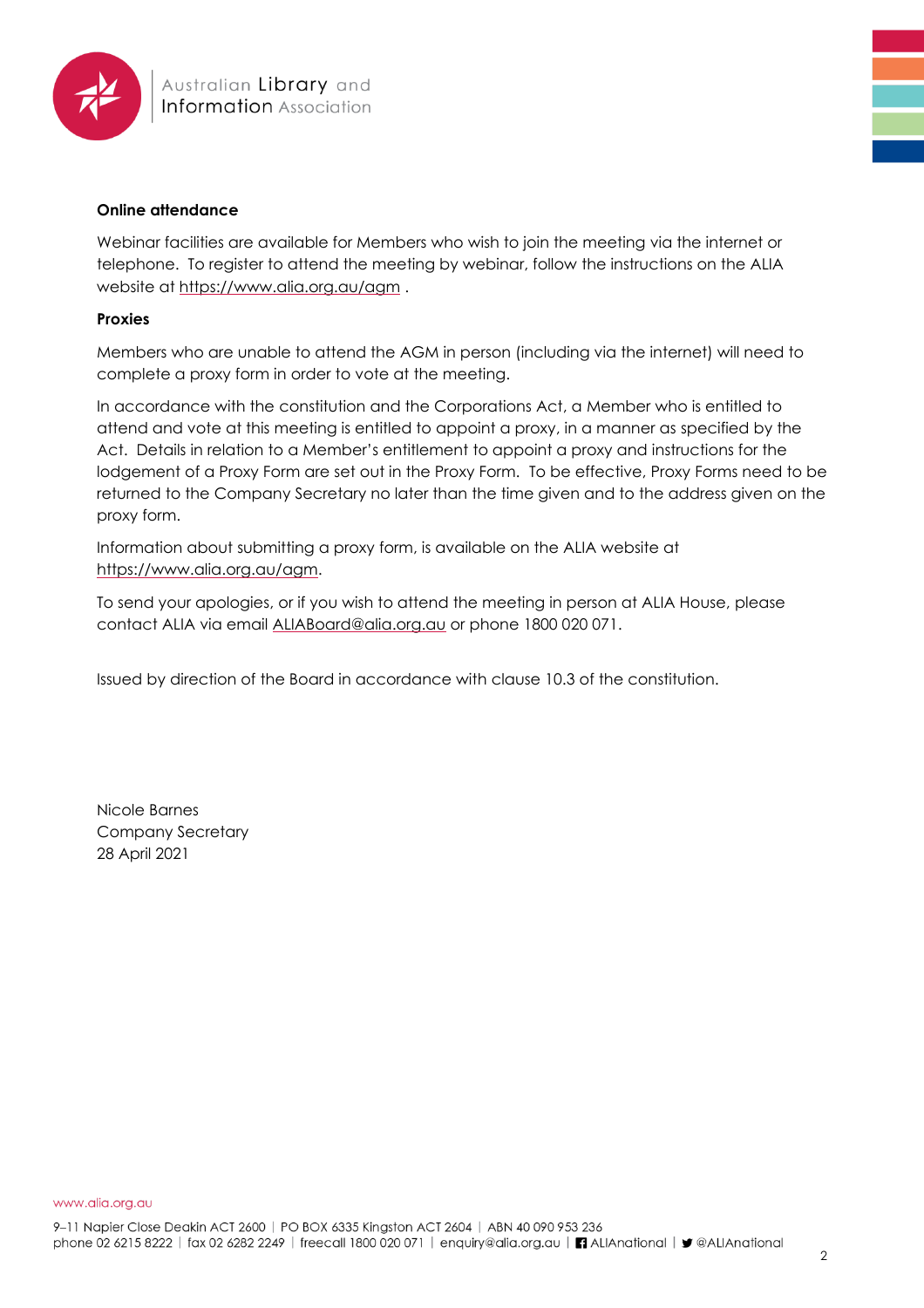

#### **Online attendance**

Webinar facilities are available for Members who wish to join the meeting via the internet or telephone. To register to attend the meeting by webinar, follow the instructions on the ALIA website at<https://www.alia.org.au/agm> .

#### **Proxies**

Members who are unable to attend the AGM in person (including via the internet) will need to complete a proxy form in order to vote at the meeting.

In accordance with the constitution and the Corporations Act, a Member who is entitled to attend and vote at this meeting is entitled to appoint a proxy, in a manner as specified by the Act. Details in relation to a Member's entitlement to appoint a proxy and instructions for the lodgement of a Proxy Form are set out in the Proxy Form. To be effective, Proxy Forms need to be returned to the Company Secretary no later than the time given and to the address given on the proxy form.

Information about submitting a proxy form, is available on the ALIA website at [https://www.alia.org.au/agm.](https://www.alia.org.au/agm)

To send your apologies, or if you wish to attend the meeting in person at ALIA House, please contact ALIA via email [ALIABoard@alia.org.au](mailto:ALIABoard@alia.org.au) or phone 1800 020 071.

Issued by direction of the Board in accordance with clause 10.3 of the constitution.

Nicole Barnes Company Secretary 28 April 2021

www.alia.org.au